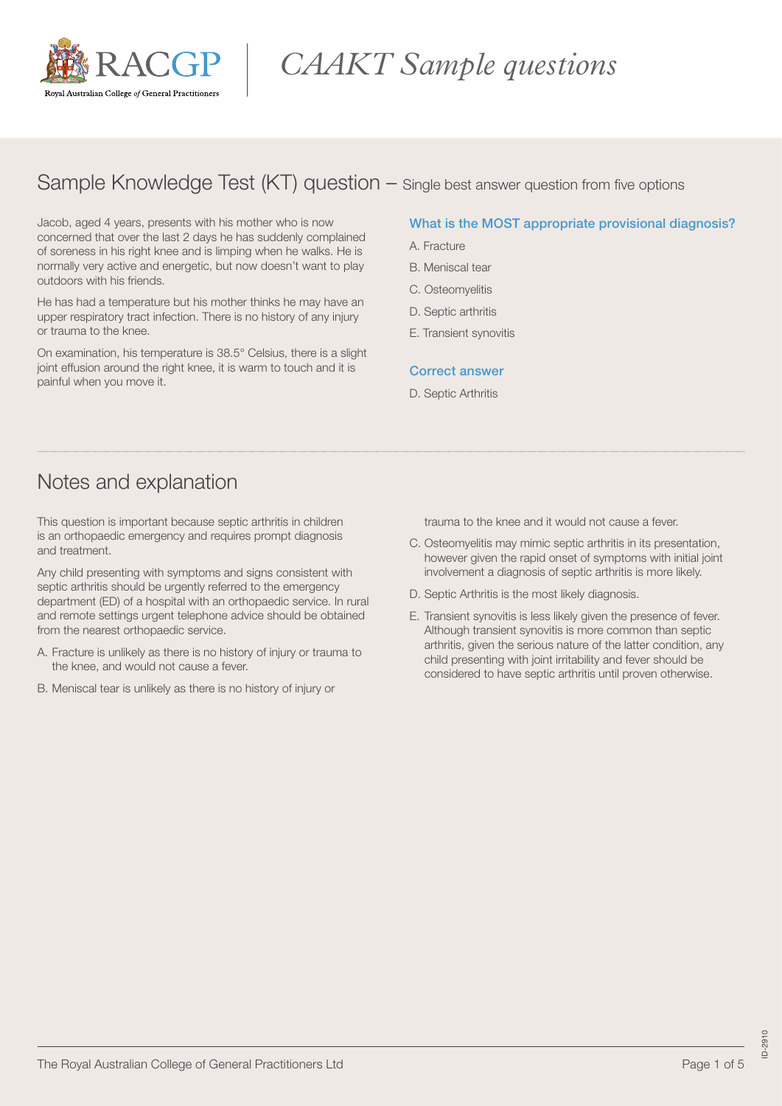

# *CAAKT Sample questions*

### Sample Knowledge Test (KT) question – Single best answer question from five options

Jacob, aged 4 years, presents with his mother who is now concerned that over the last 2 days he has suddenly complained of soreness in his right knee and is limping when he walks. He is normally very active and energetic, but now doesn't want to play outdoors with his friends.

He has had a temperature but his mother thinks he may have an upper respiratory tract infection. There is no history of any injury or trauma to the knee.

On examination, his temperature is 38.5° Celsius, there is a slight joint effusion around the right knee, it is warm to touch and it is painful when you move it.

### What is the MOST appropriate provisional diagnosis?

- A. Fracture
- B. Meniscal tear
- C. Osteomyelitis
- D. Septic arthritis
- E. Transient synovitis

#### Correct answer

D. Septic Arthritis

### Notes and explanation

This question is important because septic arthritis in children is an orthopaedic emergency and requires prompt diagnosis and treatment.

Any child presenting with symptoms and signs consistent with septic arthritis should be urgently referred to the emergency department (ED) of a hospital with an orthopaedic service. In rural and remote settings urgent telephone advice should be obtained from the nearest orthopaedic service.

- A. Fracture is unlikely as there is no history of injury or trauma to the knee, and would not cause a fever.
- B. Meniscal tear is unlikely as there is no history of injury or

trauma to the knee and it would not cause a fever.

- C. Osteomyelitis may mimic septic arthritis in its presentation, however given the rapid onset of symptoms with initial joint involvement a diagnosis of septic arthritis is more likely.
- D. Septic Arthritis is the most likely diagnosis.
- E. Transient synovitis is less likely given the presence of fever. Although transient synovitis is more common than septic arthritis, given the serious nature of the latter condition, any child presenting with joint irritability and fever should be considered to have septic arthritis until proven otherwise.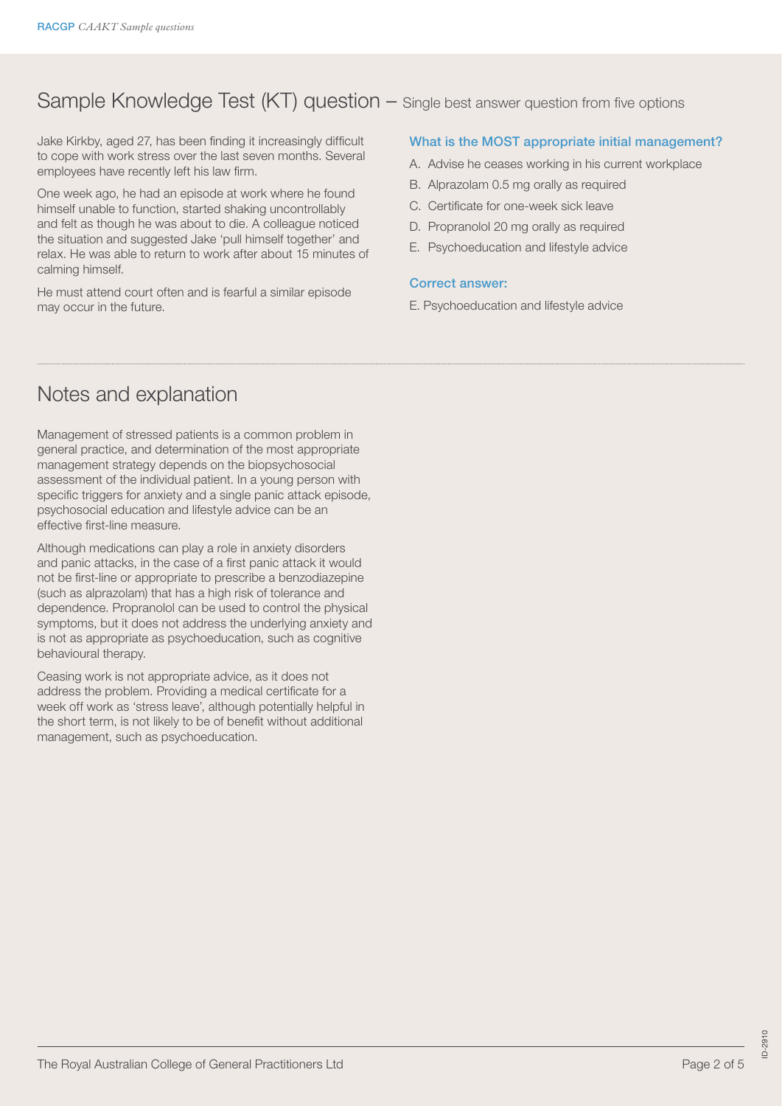## Sample Knowledge Test (KT) question – Single best answer question from five options

Jake Kirkby, aged 27, has been finding it increasingly difficult to cope with work stress over the last seven months. Several employees have recently left his law firm.

One week ago, he had an episode at work where he found himself unable to function, started shaking uncontrollably and felt as though he was about to die. A colleague noticed the situation and suggested Jake 'pull himself together' and relax. He was able to return to work after about 15 minutes of calming himself.

He must attend court often and is fearful a similar episode may occur in the future.

### What is the MOST appropriate initial management?

- A. Advise he ceases working in his current workplace
- B. Alprazolam 0.5 mg orally as required
- C. Certificate for one-week sick leave
- D. Propranolol 20 mg orally as required
- E. Psychoeducation and lifestyle advice

#### Correct answer:

E. Psychoeducation and lifestyle advice

### Notes and explanation

Management of stressed patients is a common problem in general practice, and determination of the most appropriate management strategy depends on the biopsychosocial assessment of the individual patient. In a young person with specific triggers for anxiety and a single panic attack episode, psychosocial education and lifestyle advice can be an effective first-line measure.

Although medications can play a role in anxiety disorders and panic attacks, in the case of a first panic attack it would not be first-line or appropriate to prescribe a benzodiazepine (such as alprazolam) that has a high risk of tolerance and dependence. Propranolol can be used to control the physical symptoms, but it does not address the underlying anxiety and is not as appropriate as psychoeducation, such as cognitive behavioural therapy.

Ceasing work is not appropriate advice, as it does not address the problem. Providing a medical certificate for a week off work as 'stress leave', although potentially helpful in the short term, is not likely to be of benefit without additional management, such as psychoeducation.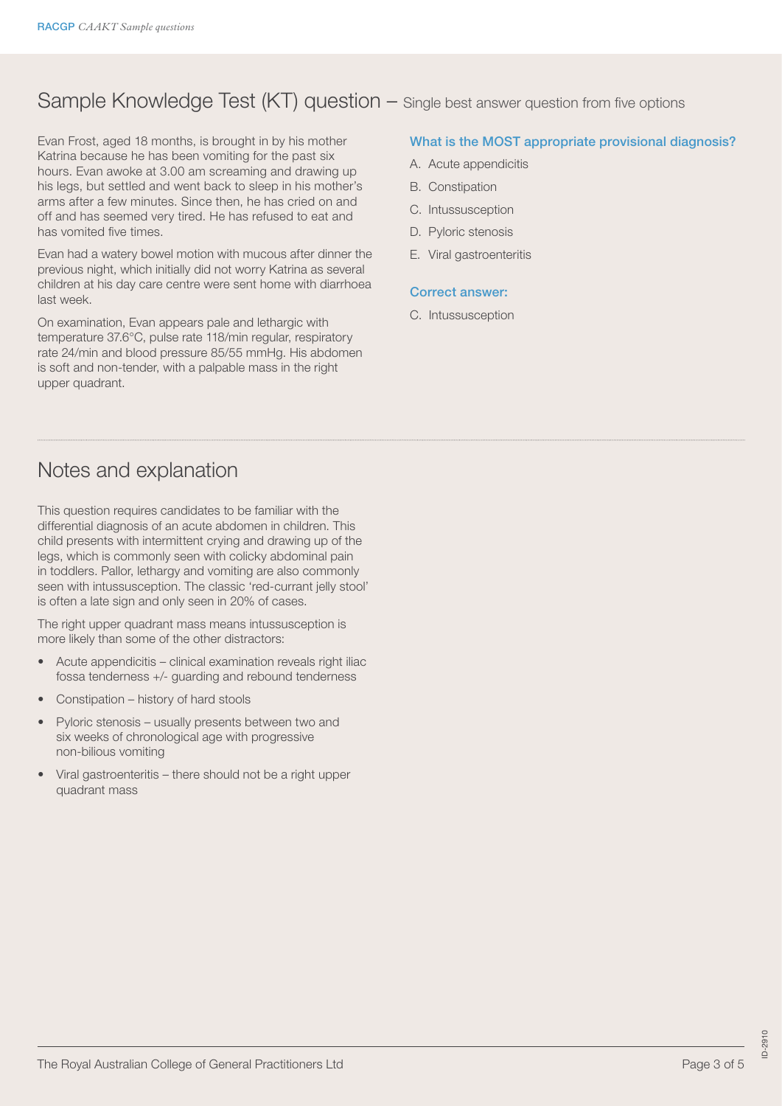## Sample Knowledge Test (KT) question – Single best answer question from five options

Evan Frost, aged 18 months, is brought in by his mother Katrina because he has been vomiting for the past six hours. Evan awoke at 3.00 am screaming and drawing up his legs, but settled and went back to sleep in his mother's arms after a few minutes. Since then, he has cried on and off and has seemed very tired. He has refused to eat and has vomited five times.

Evan had a watery bowel motion with mucous after dinner the previous night, which initially did not worry Katrina as several children at his day care centre were sent home with diarrhoea last week.

On examination, Evan appears pale and lethargic with temperature 37.6°C, pulse rate 118/min regular, respiratory rate 24/min and blood pressure 85/55 mmHg. His abdomen is soft and non-tender, with a palpable mass in the right upper quadrant.

### What is the MOST appropriate provisional diagnosis?

- A. Acute appendicitis
- B. Constipation
- C. Intussusception
- D. Pyloric stenosis
- E. Viral gastroenteritis

#### Correct answer:

C. Intussusception

### Notes and explanation

This question requires candidates to be familiar with the differential diagnosis of an acute abdomen in children. This child presents with intermittent crying and drawing up of the legs, which is commonly seen with colicky abdominal pain in toddlers. Pallor, lethargy and vomiting are also commonly seen with intussusception. The classic 'red-currant jelly stool' is often a late sign and only seen in 20% of cases.

The right upper quadrant mass means intussusception is more likely than some of the other distractors:

- Acute appendicitis clinical examination reveals right iliac fossa tenderness +/- guarding and rebound tenderness
- Constipation history of hard stools
- Pyloric stenosis usually presents between two and six weeks of chronological age with progressive non-bilious vomiting
- Viral gastroenteritis there should not be a right upper quadrant mass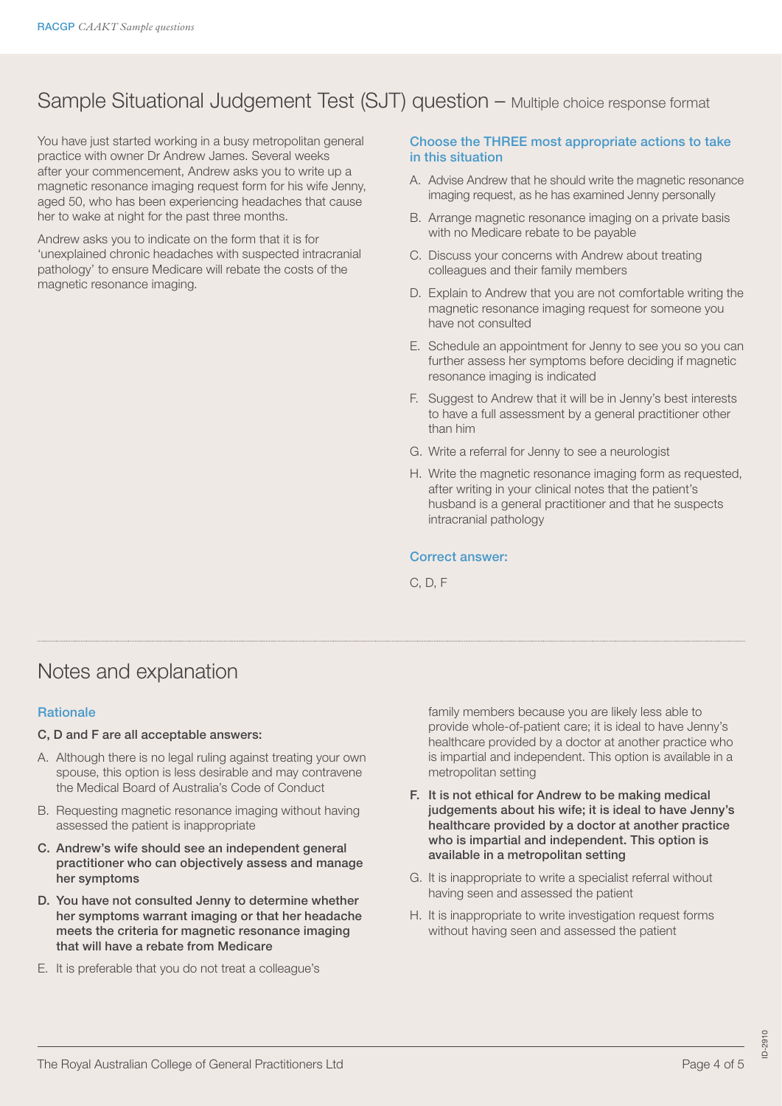## Sample Situational Judgement Test (SJT) question – Multiple choice response format

You have just started working in a busy metropolitan general practice with owner Dr Andrew James. Several weeks after your commencement, Andrew asks you to write up a magnetic resonance imaging request form for his wife Jenny, aged 50, who has been experiencing headaches that cause her to wake at night for the past three months.

Andrew asks you to indicate on the form that it is for 'unexplained chronic headaches with suspected intracranial pathology' to ensure Medicare will rebate the costs of the magnetic resonance imaging.

### Choose the THREE most appropriate actions to take in this situation

- A. Advise Andrew that he should write the magnetic resonance imaging request, as he has examined Jenny personally
- B. Arrange magnetic resonance imaging on a private basis with no Medicare rebate to be payable
- C. Discuss your concerns with Andrew about treating colleagues and their family members
- D. Explain to Andrew that you are not comfortable writing the magnetic resonance imaging request for someone you have not consulted
- E. Schedule an appointment for Jenny to see you so you can further assess her symptoms before deciding if magnetic resonance imaging is indicated
- F. Suggest to Andrew that it will be in Jenny's best interests to have a full assessment by a general practitioner other than him
- G. Write a referral for Jenny to see a neurologist
- H. Write the magnetic resonance imaging form as requested, after writing in your clinical notes that the patient's husband is a general practitioner and that he suspects intracranial pathology

### Correct answer:

C, D, F

### Notes and explanation

### **Rationale**

#### C, D and F are all acceptable answers:

- A. Although there is no legal ruling against treating your own spouse, this option is less desirable and may contravene the Medical Board of Australia's Code of Conduct
- B. Requesting magnetic resonance imaging without having assessed the patient is inappropriate
- C. Andrew's wife should see an independent general practitioner who can objectively assess and manage her symptoms
- D. You have not consulted Jenny to determine whether her symptoms warrant imaging or that her headache meets the criteria for magnetic resonance imaging that will have a rebate from Medicare
- E. It is preferable that you do not treat a colleague's

family members because you are likely less able to provide whole-of-patient care; it is ideal to have Jenny's healthcare provided by a doctor at another practice who is impartial and independent. This option is available in a metropolitan setting

- F. It is not ethical for Andrew to be making medical judgements about his wife; it is ideal to have Jenny's healthcare provided by a doctor at another practice who is impartial and independent. This option is available in a metropolitan setting
- G. It is inappropriate to write a specialist referral without having seen and assessed the patient
- H. It is inappropriate to write investigation request forms without having seen and assessed the patient